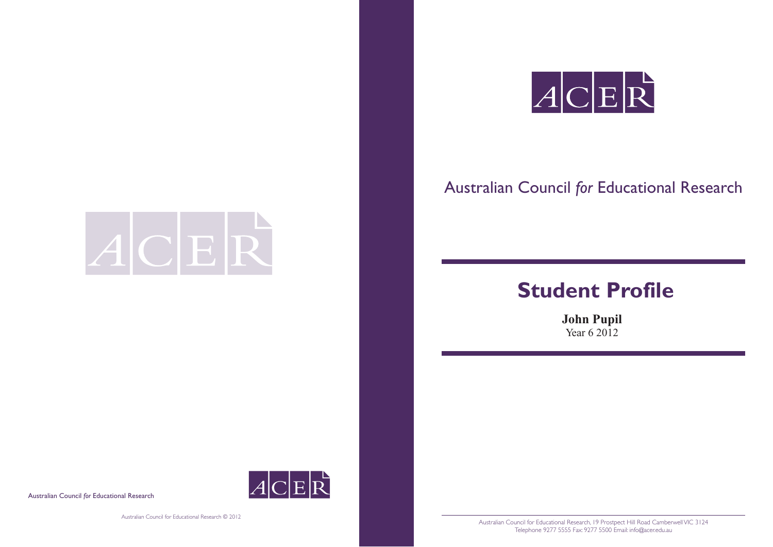

# Australian Council *for* Educational Research

# **Student Profile**



Australian Council for Educational Research, 19 Prostpect Hill Road Camberwell VIC 3124 Telephone 9277 5555 Fax: 9277 5500 Email: info@acer.edu.au

**John Pupil** Year 6 2012

Australian Council *for* Educational Research

ACER